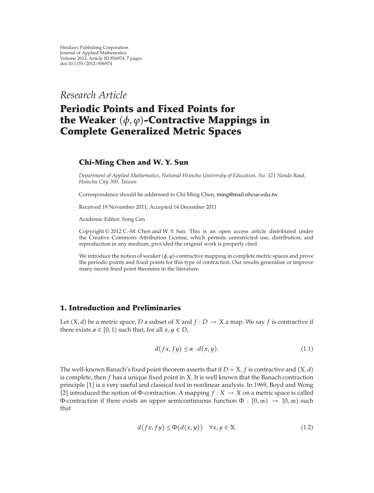*Research Article*

# **Periodic Points and Fixed Points for** the Weaker (φ, φ)**-Contractive Mappings in Complete Generalized Metric Spaces**

## **Chi-Ming Chen and W. Y. Sun**

*Department of Applied Mathematics, National Hsinchu University of Education, No. 521 Nanda Road, Hsinchu City 300, Taiwan*

Correspondence should be addressed to Chi-Ming Chen, ming@mail.nhcue.edu.tw

Received 19 November 2011; Accepted 14 December 2011

Academic Editor: Song Cen

Copyright © 2012 C.-M. Chen and W. Y. Sun. This is an open access article distributed under the Creative Commons Attribution License, which permits unrestricted use, distribution, and reproduction in any medium, provided the original work is properly cited.

We introduce the notion of weaker  $(\phi, \varphi)$ -contractive mapping in complete metric spaces and prove the periodic points and fixed points for this type of contraction. Our results generalize or improve many recent fixed point theorems in the literature.

# **1. Introduction and Preliminaries**

Let  $(X, d)$  be a metric space, *D* a subset of *X* and  $f : D \to X$  a map. We say *f* is contractive if there exists  $\alpha \in [0, 1)$  such that, for all  $x, y \in D$ ,

$$
d(fx, fy) \le \alpha \cdot d(x, y). \tag{1.1}
$$

The well-known Banach's fixed point theorem asserts that if  $D = X$ ,  $f$  is contractive and  $(X, d)$ is complete, then *f* has a unique fixed point in *X*. It is well known that the Banach contraction principle [1] is a very useful and classical tool in nonlinear analysis. In 1969, Boyd and Wong [2] introduced the notion of Φ-contraction. A mapping  $f : X \to X$  on a metric space is called Φ-contraction if there exists an upper semicontinuous function  $\Phi : [0, \infty) \to [0, \infty)$  such that

$$
d(fx, fy) \le \Phi(d(x, y)) \quad \forall x, y \in X. \tag{1.2}
$$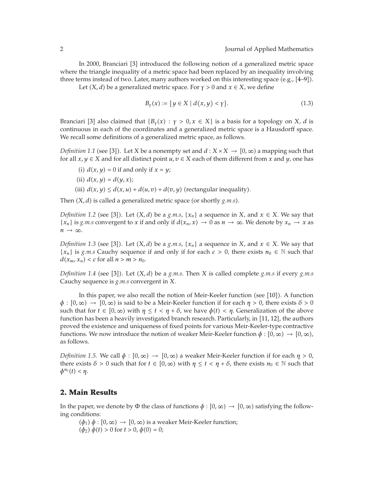In 2000, Branciari [3] introduced the following notion of a generalized metric space where the triangle inequality of a metric space had been replaced by an inequality involving three terms instead of two. Later, many authors worked on this interesting space (e.g.,  $[4-9]$ ).

Let  $(X, d)$  be a generalized metric space. For  $\gamma > 0$  and  $x \in X$ , we define

$$
B_{\gamma}(x) := \{ y \in X \mid d(x, y) < \gamma \}. \tag{1.3}
$$

Branciari [3] also claimed that  ${B<sub>Y</sub>(x) : y > 0, x \in X}$  is a basis for a topology on *X*, *d* is continuous in each of the coordinates and a generalized metric space is a Hausdorff space. We recall some definitions of a generalized metric space, as follows.

*Definition* 1.1 (see [3]). Let *X* be a nonempty set and  $d : X \times X \to [0, \infty)$  a mapping such that for all  $x, y \in X$  and for all distinct point  $u, v \in X$  each of them different from x and  $y$ , one has

- (i)  $d(x, y) = 0$  if and only if  $x = y$ ;
- (ii)  $d(x, y) = d(y, x);$
- (iii)  $d(x, y) \leq d(x, u) + d(u, v) + d(v, y)$  (rectangular inequality).

Then  $(X, d)$  is called a generalized metric space (or shortly  $g.m.s$ ).

*Definition 1.2* (see [3]). Let  $(X, d)$  be a *g.m.s*,  $\{x_n\}$  a sequence in *X*, and  $x \in X$ . We say that  ${x_n}$  is *g.m.s* convergent to *x* if and only if  $d(x_n, x) \to 0$  as  $n \to \infty$ . We denote by  $x_n \to x$  as  $n \rightarrow \infty$ .

*Definition 1.3* (see [3]). Let  $(X, d)$  be a *g.m.s*,  $\{x_n\}$  a sequence in *X*, and  $x \in X$ *.* We say that {*x<sub>n</sub>*} is *g.m.s* Cauchy sequence if and only if for each  $\varepsilon > 0$ , there exists  $n_0 \in \mathbb{N}$  such that  $d(x_m, x_n) < \varepsilon$  for all  $n > m > n_0$ .

*Definition 1.4* (see [3]). Let  $(X, d)$  be a *g.m.s*. Then *X* is called complete *g.m.s* if every *g.m.s* Cauchy sequence is *g.m.s* convergent in *X.*

In this paper, we also recall the notion of Meir-Keeler function (see [10]). A function  $\phi$ :  $[0,\infty) \to [0,\infty)$  is said to be a Meir-Keeler function if for each  $\eta > 0$ , there exists  $\delta > 0$ such that for  $t \in [0, \infty)$  with  $\eta \leq t < \eta + \delta$ , we have  $\phi(t) < \eta$ . Generalization of the above function has been a heavily investigated branch research. Particularly, in [11, 12], the authors proved the existence and uniqueness of fixed points for various Meir-Keeler-type contractive functions. We now introduce the notion of weaker Meir-Keeler function  $\phi : [0, \infty) \to [0, \infty)$ , as follows.

*Definition 1.5.* We call  $\phi$  :  $[0, \infty) \rightarrow [0, \infty)$  a weaker Meir-Keeler function if for each  $\eta > 0$ , there exists  $\delta > 0$  such that for  $t \in [0, \infty)$  with  $\eta \le t < \eta + \delta$ , there exists  $n_0 \in \mathbb{N}$  such that  $\phi^{n_0}(t) < \eta$ .

#### **2. Main Results**

In the paper, we denote by  $\Phi$  the class of functions  $\phi : [0, \infty) \to [0, \infty)$  satisfying the following conditions:

- $(\phi_1)$   $\phi$  :  $[0, \infty) \rightarrow [0, \infty)$  is a weaker Meir-Keeler function;
- $(\dot{\phi}_2) \dot{\phi}(t) > 0$  for  $t > 0$ ,  $\dot{\phi}(0) = 0$ ;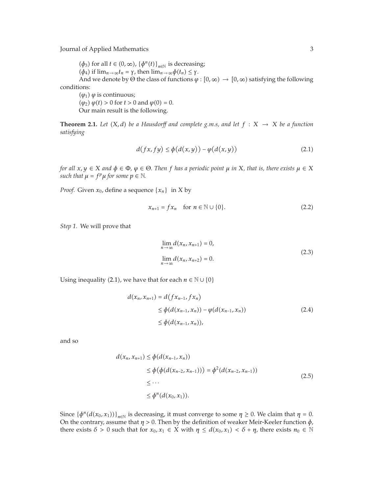Journal of Applied Mathematics 3

 $(\phi_3)$  for all  $t \in (0, \infty)$ ,  $\{\phi^n(t)\}_{n \in \mathbb{N}}$  is decreasing;  $(\phi_4)$  if  $\lim_{n\to\infty} t_n = \gamma$ , then  $\lim_{n\to\infty} \phi(t_n) \leq \gamma$ . And we denote by  $\Theta$  the class of functions  $\varphi : [0, \infty) \to [0, \infty)$  satisfying the following  $(\varphi_1)$   $\varphi$  is continuous;

conditions:

 $(\varphi_2) \varphi(t) > 0$  for  $t > 0$  and  $\varphi(0) = 0$ . Our main result is the following.

**Theorem 2.1.** Let  $(X, d)$  be a Hausdorff and complete g.m.s, and let  $f : X \rightarrow X$  be a function *satisfying*

$$
d(fx, fy) \le \phi(d(x, y)) - \phi(d(x, y))
$$
\n(2.1)

*for all*  $x, y \in X$  *and*  $\phi \in \Phi$ *,*  $\phi \in \Theta$ *. Then f has a periodic point*  $\mu$  *in*  $X$ *, that is, there exists*  $\mu \in X$ *such that*  $\mu = f^p \mu$  *for some*  $p \in \mathbb{N}$ *.* 

*Proof.* Given  $x_0$ , define a sequence  $\{x_n\}$  in *X* by

$$
x_{n+1} = fx_n \quad \text{for } n \in \mathbb{N} \cup \{0\}.
$$
 (2.2)

*Step 1.* We will prove that

$$
\lim_{n \to \infty} d(x_n, x_{n+1}) = 0,
$$
\n
$$
\lim_{n \to \infty} d(x_n, x_{n+2}) = 0.
$$
\n(2.3)

Using inequality (2.1), we have that for each  $n \in \mathbb{N} \cup \{0\}$ 

$$
d(x_n, x_{n+1}) = d(fx_{n-1}, fx_n)
$$
  
\n
$$
\leq \phi(d(x_{n-1}, x_n)) - \phi(d(x_{n-1}, x_n))
$$
  
\n
$$
\leq \phi(d(x_{n-1}, x_n)),
$$
\n(2.4)

and so

$$
d(x_n, x_{n+1}) \le \phi(d(x_{n-1}, x_n))
$$
  
\n
$$
\le \phi(\phi(d(x_{n-2}, x_{n-1}))) = \phi^2(d(x_{n-2}, x_{n-1}))
$$
  
\n
$$
\le \cdots
$$
  
\n
$$
\le \phi^n(d(x_0, x_1)).
$$
\n(2.5)

Since  $\left\{\phi^n(d(x_0, x_1))\right\}_{n \in \mathbb{N}}$  is decreasing, it must converge to some  $\eta \geq 0$ . We claim that  $\eta = 0$ . On the contrary, assume that  $\eta > 0$ . Then by the definition of weaker Meir-Keeler function  $\phi$ , there exists  $\delta > 0$  such that for  $x_0, x_1 \in X$  with  $\eta \leq d(x_0, x_1) < \delta + \eta$ , there exists  $n_0 \in \mathbb{N}$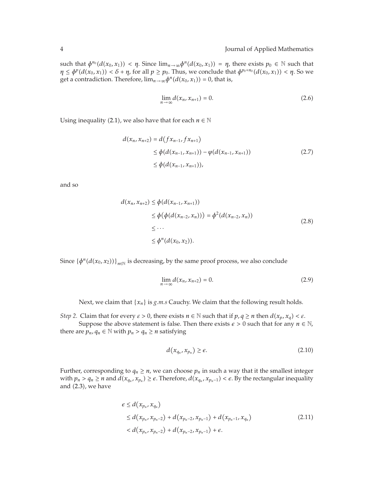$\text{such that } \phi^{n_0}(d(x_0, x_1)) < \eta$ . Since  $\lim_{n \to \infty} \phi^n(d(x_0, x_1)) = \eta$ , there exists  $p_0 \in \mathbb{N}$  such that  $\eta \le \phi^p(d(x_0, x_1)) < \delta + \eta$ , for all  $p \ge p_0$ . Thus, we conclude that  $\phi^{p_0+n_0}(d(x_0, x_1)) < \eta$ . So we get a contradiction. Therefore,  $\lim_{n\to\infty}\phi^n(d(x_0, x_1)) = 0$ , that is,

$$
\lim_{n \to \infty} d(x_n, x_{n+1}) = 0. \tag{2.6}
$$

Using inequality (2.1), we also have that for each  $n \in \mathbb{N}$ 

$$
d(x_n, x_{n+2}) = d(fx_{n-1}, fx_{n+1})
$$
  
\n
$$
\leq \phi(d(x_{n-1}, x_{n+1})) - \phi(d(x_{n-1}, x_{n+1}))
$$
  
\n
$$
\leq \phi(d(x_{n-1}, x_{n+1})),
$$
\n(2.7)

and so

$$
d(x_n, x_{n+2}) \le \phi(d(x_{n-1}, x_{n+1}))
$$
  
\n
$$
\le \phi(\phi(d(x_{n-2}, x_n))) = \phi^2(d(x_{n-2}, x_n))
$$
  
\n
$$
\le \cdots
$$
  
\n
$$
\le \phi^n(d(x_0, x_2)).
$$
\n(2.8)

Since  $\left\{\phi^n(d(x_0, x_2))\right\}_{n \in \mathbb{N}}$  is decreasing, by the same proof process, we also conclude

$$
\lim_{n \to \infty} d(x_n, x_{n+2}) = 0. \tag{2.9}
$$

Next, we claim that {*xn*} is *g.m.s* Cauchy. We claim that the following result holds.

*Step 2.* Claim that for every  $\varepsilon > 0$ , there exists  $n \in \mathbb{N}$  such that if  $p, q \geq n$  then  $d(x_p, x_q) < \varepsilon$ . Suppose the above statement is false. Then there exists  $\epsilon > 0$  such that for any  $n \in \mathbb{N}$ , there are  $p_n$ ,  $q_n \in \mathbb{N}$  with  $p_n > q_n \ge n$  satisfying

$$
d(x_{q_n}, x_{p_n}) \ge \epsilon. \tag{2.10}
$$

Further, corresponding to  $q_n \geq n$ , we can choose  $p_n$  in such a way that it the smallest integer with  $p_n > q_n \ge n$  and  $d(x_{q_n}, x_{p_n}) \ge \epsilon$ . Therefore,  $d(x_{q_n}, x_{p_n-1}) < \epsilon$ . By the rectangular inequality and (2.3), we have

$$
e \le d(x_{p_n}, x_{q_n})
$$
  
\n
$$
\le d(x_{p_n}, x_{p_n-2}) + d(x_{p_n-2}, x_{p_n-1}) + d(x_{p_n-1}, x_{q_n})
$$
  
\n
$$
< d(x_{p_n}, x_{p_n-2}) + d(x_{p_n-2}, x_{p_n-1}) + \epsilon.
$$
\n(2.11)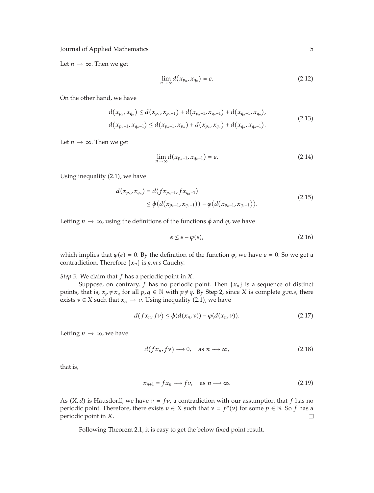Journal of Applied Mathematics 5

Let  $n \to \infty$ . Then we get

$$
\lim_{n \to \infty} d(x_{p_n}, x_{q_n}) = \epsilon. \tag{2.12}
$$

On the other hand, we have

$$
d(x_{p_n}, x_{q_n}) \le d(x_{p_n}, x_{p_n-1}) + d(x_{p_n-1}, x_{q_n-1}) + d(x_{q_n-1}, x_{q_n}),
$$
  
\n
$$
d(x_{p_n-1}, x_{q_n-1}) \le d(x_{p_n-1}, x_{p_n}) + d(x_{p_n}, x_{q_n}) + d(x_{q_n}, x_{q_n-1}).
$$
\n(2.13)

Let  $n \to \infty$ . Then we get

$$
\lim_{n\to\infty}d(x_{p_n-1},x_{q_n-1})=\epsilon.
$$
\n(2.14)

Using inequality (2.1), we have

$$
d(x_{p_n}, x_{q_n}) = d(fx_{p_n-1}, fx_{q_n-1})
$$
  
\n
$$
\leq \phi(d(x_{p_n-1}, x_{q_n-1})) - \phi(d(x_{p_n-1}, x_{q_n-1})).
$$
\n(2.15)

Letting  $n \to \infty$ , using the definitions of the functions  $\phi$  and  $\phi$ , we have

$$
\epsilon \le \epsilon - \varphi(\epsilon),\tag{2.16}
$$

which implies that  $\varphi(\varepsilon) = 0$ . By the definition of the function  $\varphi$ , we have  $\varepsilon = 0$ . So we get a contradiction. Therefore {*xn*} is *g.m.s* Cauchy.

*Step 3.* We claim that *f* has a periodic point in *X*.

Suppose, on contrary,  $f$  has no periodic point. Then  $\{x_n\}$  is a sequence of distinct points, that is,  $x_p \neq x_q$  for all  $p, q \in \mathbb{N}$  with  $p \neq q$ . By Step 2, since *X* is complete *g.m.s*, there exists  $v \in X$  such that  $x_n \to v$ . Using inequality (2.1), we have

$$
d(fx_n, f\nu) \le \phi(d(x_n, \nu)) - \phi(d(x_n, \nu)). \tag{2.17}
$$

Letting  $n \to \infty$ , we have

$$
d(fx_n, f\nu) \longrightarrow 0, \quad \text{as } n \longrightarrow \infty,
$$
 (2.18)

that is,

$$
x_{n+1} = fx_n \longrightarrow fv, \quad \text{as } n \longrightarrow \infty. \tag{2.19}
$$

As  $(X, d)$  is Hausdorff, we have  $v = fv$ , a contradiction with our assumption that *f* has no periodic point. Therefore, there exists  $v \in X$  such that  $v = f^p(v)$  for some  $p \in \mathbb{N}$ . So *f* has a periodic point in *X*.  $\Box$ 

Following Theorem 2.1, it is easy to get the below fixed point result.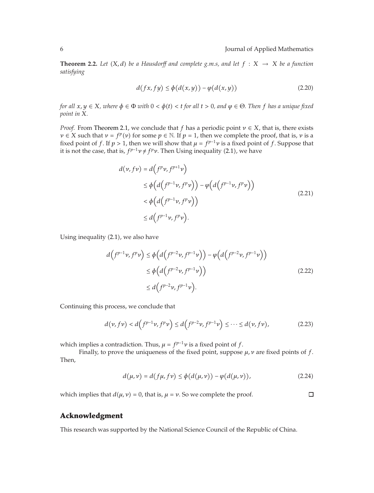**Theorem 2.2.** Let  $(X, d)$  be a Hausdorff and complete g.m.s, and let  $f : X \rightarrow X$  be a function *satisfying*

$$
d(fx, fy) \le \phi(d(x, y)) - \phi(d(x, y))
$$
\n(2.20)

*for all*  $x, y \in X$ *, where*  $\phi \in \Phi$  *with*  $0 < \phi(t) < t$  *for all*  $t > 0$ *, and*  $\phi \in \Theta$ . Then *f* has a unique fixed *point in X.*

*Proof.* From Theorem 2.1, we conclude that *f* has a periodic point *ν* ∈ *X*, that is, there exists  $\nu \in X$  such that  $\nu = f^p(\nu)$  for some  $p \in \mathbb{N}$ . If  $p = 1$ , then we complete the proof, that is,  $\nu$  is a fixed point of *f*. If  $p > 1$ , then we will show that  $\mu = f^{p-1}\nu$  is a fixed point of *f*. Suppose that it is not the case, that is,  $f^{p-1}v \neq f^p v$ . Then Using inequality (2.1), we have

$$
d(\nu, f\nu) = d(f^p \nu, f^{p+1} \nu)
$$
  
\n
$$
\leq \phi\Big(d\Big(f^{p-1} \nu, f^p \nu\Big)\Big) - \phi\Big(d\Big(f^{p-1} \nu, f^p \nu\Big)\Big)
$$
  
\n
$$
< \phi\Big(d\Big(f^{p-1} \nu, f^p \nu\Big)\Big)
$$
  
\n
$$
\leq d\Big(f^{p-1} \nu, f^p \nu\Big).
$$
\n(2.21)

Using inequality (2.1), we also have

$$
d(f^{p-1}\nu, f^p\nu) \le \phi\Big(d\Big(f^{p-2}\nu, f^{p-1}\nu\Big)\Big) - \phi\Big(d\Big(f^{p-2}\nu, f^{p-1}\nu\Big)\Big) \le \phi\Big(d\Big(f^{p-2}\nu, f^{p-1}\nu\Big)\Big) \le d\Big(f^{p-2}\nu, f^{p-1}\nu\Big).
$$
\n(2.22)

Continuing this process, we conclude that

$$
d(\nu, f\nu) < d\left(f^{p-1}\nu, f^p\nu\right) \leq d\left(f^{p-2}\nu, f^{p-1}\nu\right) \leq \dots \leq d(\nu, f\nu),\tag{2.23}
$$

which implies a contradiction. Thus,  $\mu = f^{p-1}\nu$  is a fixed point of *f*.

Finally, to prove the uniqueness of the fixed point, suppose *μ, ν* are fixed points of *f*. Then,

$$
d(\mu, \nu) = d(f\mu, f\nu) \le \phi(d(\mu, \nu)) - \phi(d(\mu, \nu)),
$$
\n(2.24)

which implies that  $d(\mu, \nu) = 0$ , that is,  $\mu = \nu$ . So we complete the proof.

 $\Box$ 

### **Acknowledgment**

This research was supported by the National Science Council of the Republic of China.